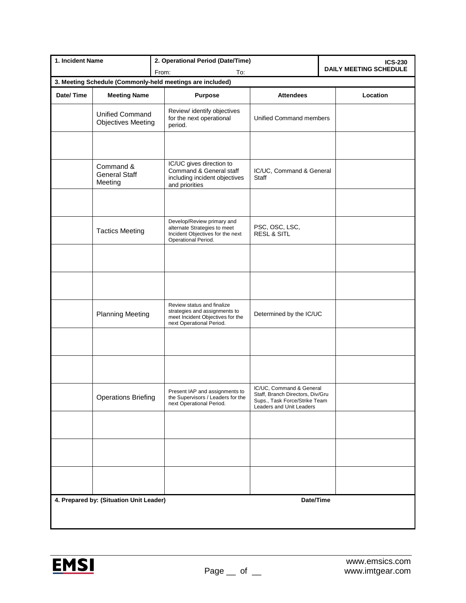| 1. Incident Name                                          |                                                     | 2. Operational Period (Date/Time)                                                                                           |                                                                                                                           | <b>ICS-230</b>                |  |
|-----------------------------------------------------------|-----------------------------------------------------|-----------------------------------------------------------------------------------------------------------------------------|---------------------------------------------------------------------------------------------------------------------------|-------------------------------|--|
|                                                           |                                                     | From:<br>To:                                                                                                                |                                                                                                                           | <b>DAILY MEETING SCHEDULE</b> |  |
| 3. Meeting Schedule (Commonly-held meetings are included) |                                                     |                                                                                                                             |                                                                                                                           |                               |  |
| Date/Time                                                 | <b>Meeting Name</b>                                 | <b>Purpose</b>                                                                                                              | <b>Attendees</b>                                                                                                          | Location                      |  |
|                                                           | <b>Unified Command</b><br><b>Objectives Meeting</b> | Review/ identify objectives<br>for the next operational<br>period.                                                          | Unified Command members                                                                                                   |                               |  |
|                                                           |                                                     |                                                                                                                             |                                                                                                                           |                               |  |
|                                                           | Command &<br><b>General Staff</b><br>Meeting        | IC/UC gives direction to<br>Command & General staff<br>including incident objectives<br>and priorities                      | IC/UC, Command & General<br>Staff                                                                                         |                               |  |
|                                                           |                                                     |                                                                                                                             |                                                                                                                           |                               |  |
|                                                           | <b>Tactics Meeting</b>                              | Develop/Review primary and<br>alternate Strategies to meet<br>Incident Objectives for the next<br>Operational Period.       | PSC, OSC, LSC,<br><b>RESL &amp; SITL</b>                                                                                  |                               |  |
|                                                           |                                                     |                                                                                                                             |                                                                                                                           |                               |  |
|                                                           |                                                     |                                                                                                                             |                                                                                                                           |                               |  |
|                                                           | <b>Planning Meeting</b>                             | Review status and finalize<br>strategies and assignments to<br>meet Incident Objectives for the<br>next Operational Period. | Determined by the IC/UC                                                                                                   |                               |  |
|                                                           |                                                     |                                                                                                                             |                                                                                                                           |                               |  |
|                                                           |                                                     |                                                                                                                             |                                                                                                                           |                               |  |
|                                                           | <b>Operations Briefing</b>                          | Present IAP and assignments to<br>the Supervisors / Leaders for the<br>next Operational Period.                             | IC/UC, Command & General<br>Staff, Branch Directors, Div/Gru<br>Sups., Task Force/Strike Team<br>Leaders and Unit Leaders |                               |  |
|                                                           |                                                     |                                                                                                                             |                                                                                                                           |                               |  |
|                                                           |                                                     |                                                                                                                             |                                                                                                                           |                               |  |
|                                                           |                                                     |                                                                                                                             |                                                                                                                           |                               |  |
| 4. Prepared by: (Situation Unit Leader)<br>Date/Time      |                                                     |                                                                                                                             |                                                                                                                           |                               |  |